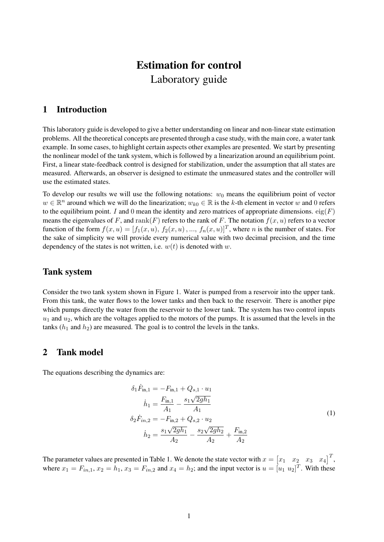# Estimation for control Laboratory guide

## 1 Introduction

This laboratory guide is developed to give a better understanding on linear and non-linear state estimation problems. All the theoretical concepts are presented through a case study, with the main core, a water tank example. In some cases, to highlight certain aspects other examples are presented. We start by presenting the nonlinear model of the tank system, which is followed by a linearization around an equilibrium point. First, a linear state-feedback control is designed for stabilization, under the assumption that all states are measured. Afterwards, an observer is designed to estimate the unmeasured states and the controller will use the estimated states.

To develop our results we will use the following notations:  $w_0$  means the equilibrium point of vector  $w \in \mathbb{R}^n$  around which we will do the linearization;  $w_{k0} \in \mathbb{R}$  is the k-th element in vector w and 0 refers to the equilibrium point. I and 0 mean the identity and zero matrices of appropriate dimensions.  $eig(F)$ means the eigenvalues of F, and  $rank(F)$  refers to the rank of F. The notation  $f(x, u)$  refers to a vector function of the form  $f(x, u) = [f_1(x, u), f_2(x, u), ..., f_n(x, u)]^T$ , where *n* is the number of states. For the sake of simplicity we will provide every numerical value with two decimal precision, and the time dependency of the states is not written, i.e.  $w(t)$  is denoted with w.

## Tank system

Consider the two tank system shown in Figure 1. Water is pumped from a reservoir into the upper tank. From this tank, the water flows to the lower tanks and then back to the reservoir. There is another pipe which pumps directly the water from the reservoir to the lower tank. The system has two control inputs  $u_1$  and  $u_2$ , which are the voltages applied to the motors of the pumps. It is assumed that the levels in the tanks  $(h_1$  and  $h_2$ ) are measured. The goal is to control the levels in the tanks.

## 2 Tank model

The equations describing the dynamics are:

$$
\delta_1 \dot{F}_{\text{in},1} = -F_{\text{in},1} + Q_{s,1} \cdot u_1
$$
\n
$$
\dot{h}_1 = \frac{F_{\text{in},1}}{A_1} - \frac{s_1 \sqrt{2gh_1}}{A_1}
$$
\n
$$
\delta_2 \dot{F}_{in,2} = -F_{\text{in},2} + Q_{s,2} \cdot u_2
$$
\n
$$
\dot{h}_2 = \frac{s_1 \sqrt{2gh_1}}{A_2} - \frac{s_2 \sqrt{2gh_2}}{A_2} + \frac{F_{\text{in},2}}{A_2}
$$
\n(1)

The parameter values are presented in Table 1. We denote the state vector with  $x = \begin{bmatrix} x_1 & x_2 & x_3 & x_4 \end{bmatrix}^T$ , where  $x_1 = F_{in,1}$ ,  $x_2 = h_1$ ,  $x_3 = F_{in,2}$  and  $x_4 = h_2$ ; and the input vector is  $u = [u_1 \ u_2]^T$ . With these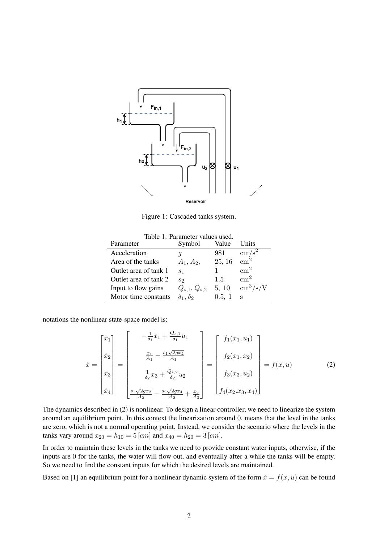

Figure 1: Cascaded tanks system.

| Table 1: Parameter values used. |                         |               |                          |
|---------------------------------|-------------------------|---------------|--------------------------|
| Parameter                       | Symbol                  | Value         | Units                    |
| Acceleration                    |                         | 981           | $\,\mathrm{cm/s^2}$      |
| Area of the tanks               | $A_1, A_2,$             | 25, 16        | $\rm cm^2$               |
| Outlet area of tank 1           | S <sub>1</sub>          |               | $\rm cm^2$               |
| Outlet area of tank 2           | S <sub>2</sub>          | $1.5^{\circ}$ | $\rm cm^2$               |
| Input to flow gains             | $Q_{s,1}, Q_{s,2}$      | 5, 10         | $\text{cm}^3/\text{s/V}$ |
| Motor time constants            | $\delta_1$ , $\delta_2$ | 0.5, 1        | S                        |

notations the nonlinear state-space model is:

$$
\dot{x} = \begin{bmatrix} \dot{x}_1 \\ \dot{x}_2 \\ \dot{x}_3 \\ \dot{x}_4 \end{bmatrix} = \begin{bmatrix} -\frac{1}{\delta_1}x_1 + \frac{Q_{s,1}}{\delta_1}u_1 \\ \frac{x_1}{A_1} - \frac{s_1\sqrt{2gx_2}}{A_1} \\ \frac{1}{\delta_2}x_3 + \frac{Q_{s,2}}{\delta_2}u_2 \\ \frac{s_1\sqrt{2gx_2}}{A_2} - \frac{s_2\sqrt{2gx_4}}{A_2} + \frac{x_3}{A_3} \end{bmatrix} = \begin{bmatrix} f_1(x_1, u_1) \\ f_2(x_1, x_2) \\ f_3(x_3, u_2) \\ f_4(x_2, x_3, x_4) \end{bmatrix} = f(x, u)
$$
 (2)

The dynamics described in (2) is nonlinear. To design a linear controller, we need to linearize the system around an equilibrium point. In this context the linearization around 0, means that the level in the tanks are zero, which is not a normal operating point. Instead, we consider the scenario where the levels in the tanks vary around  $x_{20} = h_{10} = 5$  [cm] and  $x_{40} = h_{20} = 3$  [cm].

In order to maintain these levels in the tanks we need to provide constant water inputs, otherwise, if the inputs are 0 for the tanks, the water will flow out, and eventually after a while the tanks will be empty. So we need to find the constant inputs for which the desired levels are maintained.

Based on [1] an equilibrium point for a nonlinear dynamic system of the form  $\dot{x} = f(x, u)$  can be found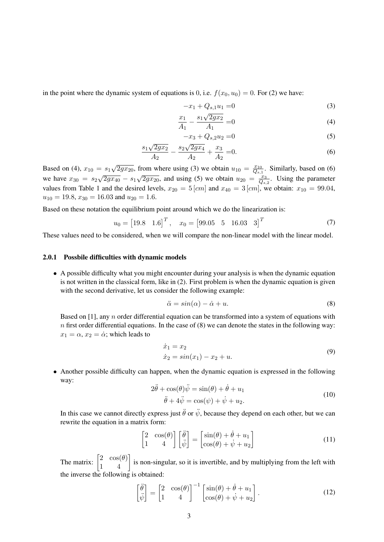in the point where the dynamic system of equations is 0, i.e.  $f(x_0, u_0) = 0$ . For (2) we have:

$$
-x_1 + Q_{s,1}u_1 = 0 \tag{3}
$$

$$
\frac{x_1}{A_1} - \frac{s_1 \sqrt{2gx_2}}{A_1} = 0
$$
\n(4)

$$
-x_3 + Q_{s,2}u_2 = 0 \tag{5}
$$

$$
\frac{s_1\sqrt{2gx_2}}{A_2} - \frac{s_2\sqrt{2gx_4}}{A_2} + \frac{x_3}{A_2} = 0.
$$
 (6)

Based on (4),  $x_{10} = s_1$ √  $\sqrt{2gx_{20}}$ , from where using (3) we obtain  $u_{10} = \frac{x_{10}}{Q_{\text{s}}}$  $\frac{x_{10}}{Q_{s,1}}$ . Similarly, based on (6) we have  $x_{30} = s_2$  $\sqrt{2gx_{40}} - s_1\sqrt{2gx_{40}}$  $\sqrt{2gx_{20}}$ , and using (5) we obtain  $u_{20} = \frac{x_3}{Q_s}$  $rac{x_3}{Q_{s,2}}$ . Using the parameter values from Table 1 and the desired levels,  $x_{20} = 5$  [cm] and  $x_{40} = 3$  [cm], we obtain:  $x_{10} = 99.04$ ,  $u_{10} = 19.8, x_{30} = 16.03$  and  $u_{20} = 1.6$ .

Based on these notation the equilibrium point around which we do the linearization is:

$$
u_0 = [19.8 \quad 1.6]^T, \quad x_0 = [99.05 \quad 5 \quad 16.03 \quad 3]^T
$$
 (7)

These values need to be considered, when we will compare the non-linear model with the linear model.

#### 2.0.1 Possbile difficulties with dynamic models

• A possible difficulty what you might encounter during your analysis is when the dynamic equation is not written in the classical form, like in (2). First problem is when the dynamic equation is given with the second derivative, let us consider the following example:

$$
\ddot{\alpha} = \sin(\alpha) - \dot{\alpha} + u. \tag{8}
$$

Based on [1], any  $n$  order differential equation can be transformed into a system of equations with  $n$  first order differential equations. In the case of  $(8)$  we can denote the states in the following way:  $x_1 = \alpha$ ,  $x_2 = \dot{\alpha}$ ; which leads to

$$
\begin{aligned} \dot{x}_1 &= x_2\\ \dot{x}_2 &= \sin(x_1) - x_2 + u. \end{aligned} \tag{9}
$$

• Another possible difficulty can happen, when the dynamic equation is expressed in the following way:

$$
2\ddot{\theta} + \cos(\theta)\ddot{\psi} = \sin(\theta) + \dot{\theta} + u_1
$$
  

$$
\ddot{\theta} + 4\ddot{\psi} = \cos(\psi) + \dot{\psi} + u_2.
$$
 (10)

In this case we cannot directly express just  $\ddot{\theta}$  or  $\ddot{\psi}$ , because they depend on each other, but we can rewrite the equation in a matrix form:

$$
\begin{bmatrix} 2 & \cos(\theta) \\ 1 & 4 \end{bmatrix} \begin{bmatrix} \ddot{\theta} \\ \ddot{\psi} \end{bmatrix} = \begin{bmatrix} \sin(\theta) + \dot{\theta} + u_1 \\ \cos(\theta) + \dot{\psi} + u_2 \end{bmatrix}
$$
(11)

The matrix:  $\begin{bmatrix} 2 & \cos(\theta) \\ 1 & 4 \end{bmatrix}$  is non-singular, so it is invertible, and by multiplying from the left with the inverse the following is obtained:

$$
\begin{bmatrix} \ddot{\theta} \\ \ddot{\psi} \end{bmatrix} = \begin{bmatrix} 2 & \cos(\theta) \\ 1 & 4 \end{bmatrix}^{-1} \begin{bmatrix} \sin(\theta) + \dot{\theta} + u_1 \\ \cos(\theta) + \dot{\psi} + u_2 \end{bmatrix}.
$$
 (12)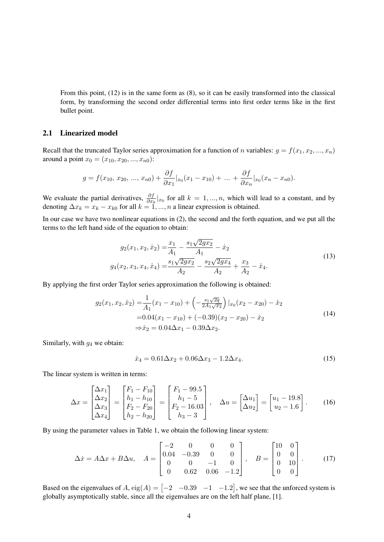From this point, (12) is in the same form as (8), so it can be easily transformed into the classical form, by transforming the second order differential terms into first order terms like in the first bullet point.

### 2.1 Linearized model

Recall that the truncated Taylor series approximation for a function of n variables:  $g = f(x_1, x_2, ..., x_n)$ around a point  $x_0 = (x_{10}, x_{20}, ..., x_{n0})$ :

$$
g = f(x_{10}, x_{20}, ..., x_{n0}) + \frac{\partial f}{\partial x_1}|_{x_0}(x_1 - x_{10}) + ... + \frac{\partial f}{\partial x_n}|_{x_0}(x_n - x_{n0}).
$$

We evaluate the partial derivatives,  $\frac{\partial f}{\partial x_k}|_{x_0}$  for all  $k = 1, ..., n$ , which will lead to a constant, and by denoting  $\Delta x_k = x_k - x_{k0}$  for all  $k = 1, ..., n$  a linear expression is obtained.

In our case we have two nonlinear equations in (2), the second and the forth equation, and we put all the terms to the left hand side of the equation to obtain:

$$
g_2(x_1, x_2, \dot{x}_2) = \frac{x_1}{A_1} - \frac{s_1 \sqrt{2gx_2}}{A_1} - \dot{x}_2
$$
  

$$
g_4(x_2, x_3, x_4, \dot{x}_4) = \frac{s_1 \sqrt{2gx_2}}{A_2} - \frac{s_2 \sqrt{2gx_4}}{A_2} + \frac{x_3}{A_2} - \dot{x}_4.
$$
 (13)

By applying the first order Taylor series approximation the following is obtained:

$$
g_2(x_1, x_2, \dot{x}_2) = \frac{1}{A_1}(x_1 - x_{10}) + \left(-\frac{s_1\sqrt{2q}}{2A_1\sqrt{x_2}}\right)|_{x_0}(x_2 - x_{20}) - \dot{x}_2
$$
  
= 0.04(x\_1 - x\_{10}) + (-0.39)(x\_2 - x\_{20}) - \dot{x}\_2  

$$
\Rightarrow \dot{x}_2 = 0.04\Delta x_1 - 0.39\Delta x_2.
$$
 (14)

Similarly, with  $g_4$  we obtain:

$$
\dot{x}_4 = 0.61 \Delta x_2 + 0.06 \Delta x_3 - 1.2 \Delta x_4. \tag{15}
$$

The linear system is written in terms:

$$
\Delta x = \begin{bmatrix} \Delta x_1 \\ \Delta x_2 \\ \Delta x_3 \\ \Delta x_4 \end{bmatrix} = \begin{bmatrix} F_1 - F_{10} \\ h_1 - h_{10} \\ F_2 - F_{20} \\ h_2 - h_{20} \end{bmatrix} = \begin{bmatrix} F_1 - 99.5 \\ h_1 - 5 \\ F_2 - 16.03 \\ h_3 - 3 \end{bmatrix}, \quad \Delta u = \begin{bmatrix} \Delta u_1 \\ \Delta u_2 \end{bmatrix} = \begin{bmatrix} u_1 - 19.8 \\ u_2 - 1.6 \end{bmatrix}.
$$
 (16)

By using the parameter values in Table 1, we obtain the following linear system:

$$
\Delta \dot{x} = A\Delta x + B\Delta u, \quad A = \begin{bmatrix} -2 & 0 & 0 & 0 \\ 0.04 & -0.39 & 0 & 0 \\ 0 & 0 & -1 & 0 \\ 0 & 0.62 & 0.06 & -1.2 \end{bmatrix}, \quad B = \begin{bmatrix} 10 & 0 \\ 0 & 0 \\ 0 & 10 \\ 0 & 0 \end{bmatrix}.
$$
 (17)

Based on the eigenvalues of A,  $eig(A) = \begin{bmatrix} -2 & -0.39 & -1 & -1.2 \end{bmatrix}$ , we see that the unforced system is globally asymptotically stable, since all the eigenvalues are on the left half plane, [1].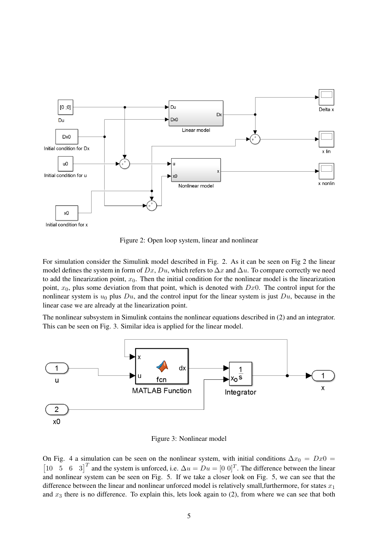

Figure 2: Open loop system, linear and nonlinear

For simulation consider the Simulink model described in Fig. 2. As it can be seen on Fig 2 the linear model defines the system in form of Dx, Du, which refers to  $\Delta x$  and  $\Delta u$ . To compare correctly we need to add the linearization point,  $x_0$ . Then the initial condition for the nonlinear model is the linearization point,  $x_0$ , plus some deviation from that point, which is denoted with  $Dx0$ . The control input for the nonlinear system is  $u_0$  plus  $Du$ , and the control input for the linear system is just  $Du$ , because in the linear case we are already at the linearization point.

The nonlinear subsystem in Simulink contains the nonlinear equations described in (2) and an integrator. This can be seen on Fig. 3. Similar idea is applied for the linear model.



Figure 3: Nonlinear model

On Fig. 4 a simulation can be seen on the nonlinear system, with initial conditions  $\Delta x_0 = Dx0$  = [10 5 6 3]<sup>T</sup> and the system is unforced, i.e.  $\Delta u = Du = [0 \ 0]^T$ . The difference between the linear and nonlinear system can be seen on Fig. 5. If we take a closer look on Fig. 5, we can see that the difference between the linear and nonlinear unforced model is relatively small, furthermore, for states  $x_1$ and  $x_3$  there is no difference. To explain this, lets look again to (2), from where we can see that both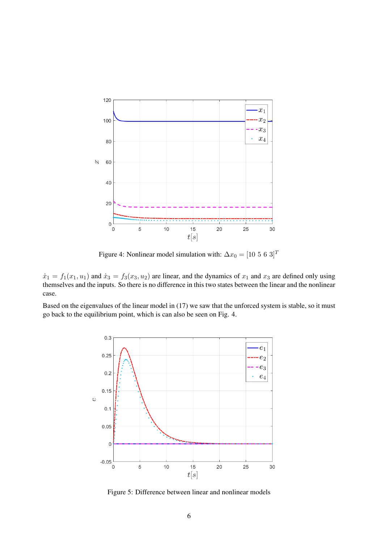

Figure 4: Nonlinear model simulation with:  $\Delta x_0 = [10 \ 5 \ 6 \ 3]^T$ 

 $\dot{x}_1 = f_1(x_1, u_1)$  and  $\dot{x}_3 = f_3(x_3, u_2)$  are linear, and the dynamics of  $x_1$  and  $x_3$  are defined only using themselves and the inputs. So there is no difference in this two states between the linear and the nonlinear case.

Based on the eigenvalues of the linear model in (17) we saw that the unforced system is stable, so it must go back to the equilibrium point, which is can also be seen on Fig. 4.



Figure 5: Difference between linear and nonlinear models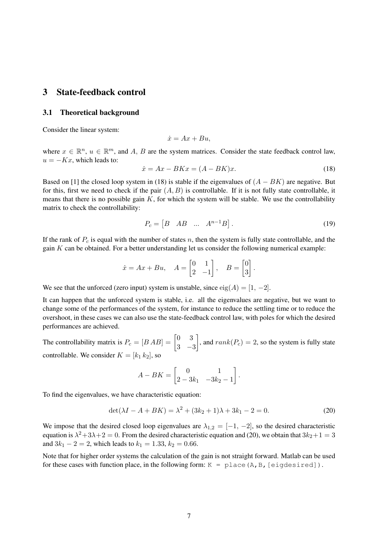## 3 State-feedback control

### 3.1 Theoretical background

Consider the linear system:

$$
\dot{x} = Ax + Bu,
$$

where  $x \in \mathbb{R}^n$ ,  $u \in \mathbb{R}^m$ , and A, B are the system matrices. Consider the state feedback control law,  $u = -Kx$ , which leads to:

$$
\dot{x} = Ax - BKx = (A - BK)x.\tag{18}
$$

Based on [1] the closed loop system in (18) is stable if the eigenvalues of  $(A - BK)$  are negative. But for this, first we need to check if the pair  $(A, B)$  is controllable. If it is not fully state controllable, it means that there is no possible gain  $K$ , for which the system will be stable. We use the controllability matrix to check the controllability:

$$
P_c = \begin{bmatrix} B & AB & \dots & A^{n-1}B \end{bmatrix} . \tag{19}
$$

If the rank of  $P_c$  is equal with the number of states n, then the system is fully state controllable, and the gain  $K$  can be obtained. For a better understanding let us consider the following numerical example:

$$
\dot{x} = Ax + Bu, \quad A = \begin{bmatrix} 0 & 1 \\ 2 & -1 \end{bmatrix}, \quad B = \begin{bmatrix} 0 \\ 3 \end{bmatrix}.
$$

We see that the unforced (zero input) system is unstable, since  $eig(A) = [1, -2]$ .

It can happen that the unforced system is stable, i.e. all the eigenvalues are negative, but we want to change some of the performances of the system, for instance to reduce the settling time or to reduce the overshoot, in these cases we can also use the state-feedback control law, with poles for which the desired performances are achieved.

The controllability matrix is  $P_c = [B \, AB] = \begin{bmatrix} 0 & 3 \\ 2 & 3 \end{bmatrix}$ 3 −3 , and  $rank(P_c) = 2$ , so the system is fully state controllable. We consider  $K = [k_1 \, k_2]$ , so

$$
A - BK = \begin{bmatrix} 0 & 1 \\ 2 - 3k_1 & -3k_2 - 1 \end{bmatrix}.
$$

To find the eigenvalues, we have characteristic equation:

$$
\det(\lambda I - A + BK) = \lambda^2 + (3k_2 + 1)\lambda + 3k_1 - 2 = 0.
$$
 (20)

We impose that the desired closed loop eigenvalues are  $\lambda_{1,2} = [-1, -2]$ , so the desired characteristic equation is  $\lambda^2 + 3\lambda + 2 = 0$ . From the desired characteristic equation and (20), we obtain that  $3k_2 + 1 = 3$ and  $3k_1 - 2 = 2$ , which leads to  $k_1 = 1.33$ ,  $k_2 = 0.66$ .

Note that for higher order systems the calculation of the gain is not straight forward. Matlab can be used for these cases with function place, in the following form:  $K =$  place  $(A, B,$  [eigdesired]).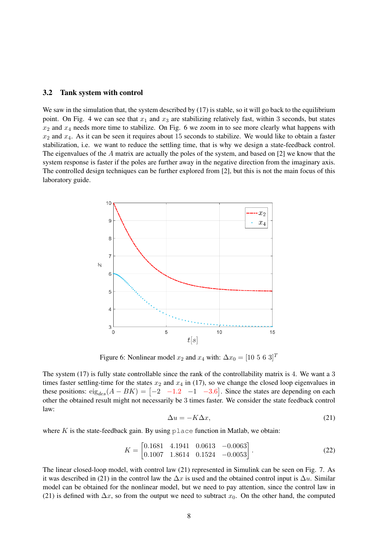### 3.2 Tank system with control

We saw in the simulation that, the system described by (17) is stable, so it will go back to the equilibrium point. On Fig. 4 we can see that  $x_1$  and  $x_3$  are stabilizing relatively fast, within 3 seconds, but states  $x_2$  and  $x_4$  needs more time to stabilize. On Fig. 6 we zoom in to see more clearly what happens with  $x_2$  and  $x_4$ . As it can be seen it requires about 15 seconds to stabilize. We would like to obtain a faster stabilization, i.e. we want to reduce the settling time, that is why we design a state-feedback control. The eigenvalues of the A matrix are actually the poles of the system, and based on [2] we know that the system response is faster if the poles are further away in the negative direction from the imaginary axis. The controlled design techniques can be further explored from [2], but this is not the main focus of this laboratory guide.



Figure 6: Nonlinear model  $x_2$  and  $x_4$  with:  $\Delta x_0 = [10 \ 5 \ 6 \ 3]^T$ 

The system (17) is fully state controllable since the rank of the controllability matrix is 4. We want a 3 times faster settling-time for the states  $x_2$  and  $x_4$  in (17), so we change the closed loop eigenvalues in these positions:  $eig_{des}(A - BK) = \begin{bmatrix} -2 & -1.2 & -1 & -3.6 \end{bmatrix}$ . Since the states are depending on each other the obtained result might not necessarily be 3 times faster. We consider the state feedback control law:

$$
\Delta u = -K\Delta x,\tag{21}
$$

where K is the state-feedback gain. By using  $p \perp ac$  function in Matlab, we obtain:

$$
K = \begin{bmatrix} 0.1681 & 4.1941 & 0.0613 & -0.0063 \\ 0.1007 & 1.8614 & 0.1524 & -0.0053 \end{bmatrix} . \tag{22}
$$

The linear closed-loop model, with control law (21) represented in Simulink can be seen on Fig. 7. As it was described in (21) in the control law the  $\Delta x$  is used and the obtained control input is  $\Delta u$ . Similar model can be obtained for the nonlinear model, but we need to pay attention, since the control law in (21) is defined with  $\Delta x$ , so from the output we need to subtract  $x_0$ . On the other hand, the computed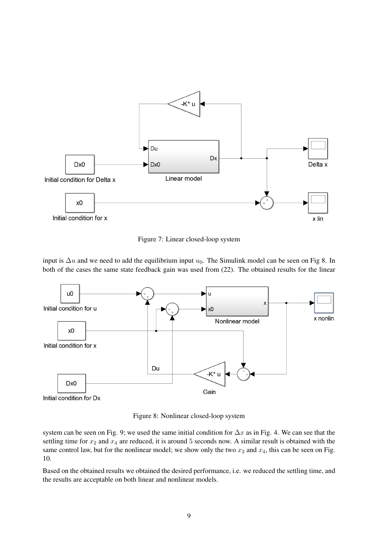

Figure 7: Linear closed-loop system

input is  $\Delta u$  and we need to add the equilibrium input  $u_0$ . The Simulink model can be seen on Fig 8. In both of the cases the same state feedback gain was used from (22). The obtained results for the linear



Figure 8: Nonlinear closed-loop system

system can be seen on Fig. 9; we used the same initial condition for  $\Delta x$  as in Fig. 4. We can see that the settling time for  $x_2$  and  $x_4$  are reduced, it is around 5 seconds now. A similar result is obtained with the same control law, but for the nonlinear model; we show only the two  $x_2$  and  $x_4$ , this can be seen on Fig. 10.

Based on the obtained results we obtained the desired performance, i.e. we reduced the settling time, and the results are acceptable on both linear and nonlinear models.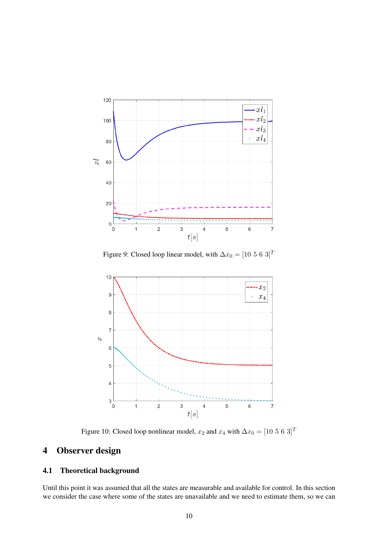

Figure 9: Closed loop linear model, with  $\Delta x_0 = [10 \ 5 \ 6 \ 3]^T$ 



Figure 10: Closed loop nonlinear model,  $x_2$  and  $x_4$  with  $\Delta x_0 = [10 \ 5 \ 6 \ 3]^T$ 

## 4 Observer design

## 4.1 Theoretical background

Until this point it was assumed that all the states are measurable and available for control. In this section we consider the case where some of the states are unavailable and we need to estimate them, so we can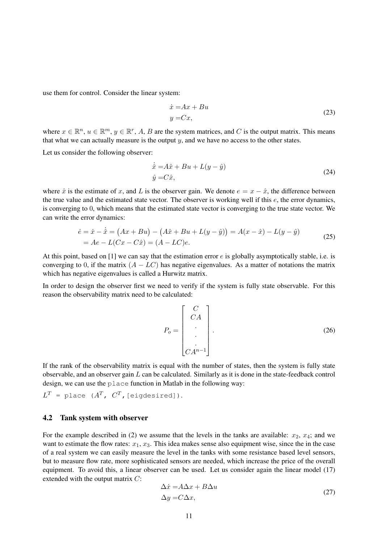use them for control. Consider the linear system:

$$
\begin{aligned}\n\dot{x} &= A x + B u \\
y &= C x,\n\end{aligned} \tag{23}
$$

where  $x \in \mathbb{R}^n$ ,  $u \in \mathbb{R}^m$ ,  $y \in \mathbb{R}^r$ , A, B are the system matrices, and C is the output matrix. This means that what we can actually measure is the output  $y$ , and we have no access to the other states.

Let us consider the following observer:

$$
\begin{aligned}\n\dot{\hat{x}} &= A\hat{x} + Bu + L(y - \hat{y}) \\
\hat{y} &= C\hat{x},\n\end{aligned} \tag{24}
$$

where  $\hat{x}$  is the estimate of x, and L is the observer gain. We denote  $e = x - \hat{x}$ , the difference between the true value and the estimated state vector. The observer is working well if this e, the error dynamics, is converging to 0, which means that the estimated state vector is converging to the true state vector. We can write the error dynamics:

$$
\begin{aligned}\n\dot{e} &= \dot{x} - \dot{\hat{x}} = (Ax + Bu) - (A\hat{x} + Bu + L(y - \hat{y})) = A(x - \hat{x}) - L(y - \hat{y}) \\
&= Ae - L(Cx - C\hat{x}) = (A - LC)e.\n\end{aligned} \tag{25}
$$

At this point, based on [1] we can say that the estimation error e is globally asymptotically stable, i.e. is converging to 0, if the matrix  $(A - LC)$  has negative eigenvalues. As a matter of notations the matrix which has negative eigenvalues is called a Hurwitz matrix.

In order to design the observer first we need to verify if the system is fully state observable. For this reason the observability matrix need to be calculated:

$$
P_o = \begin{bmatrix} C \\ CA \\ \vdots \\ CA^{n-1} \end{bmatrix} .
$$
 (26)

If the rank of the observability matrix is equal with the number of states, then the system is fully state observable, and an observer gain  $L$  can be calculated. Similarly as it is done in the state-feedback control design, we can use the place function in Matlab in the following way:

 $L^T$  = place ( $A^T$ ,  $C^T$ , [eigdesired]).

### 4.2 Tank system with observer

For the example described in (2) we assume that the levels in the tanks are available:  $x_2$ ,  $x_4$ ; and we want to estimate the flow rates:  $x_1, x_3$ . This idea makes sense also equipment wise, since the in the case of a real system we can easily measure the level in the tanks with some resistance based level sensors, but to measure flow rate, more sophisticated sensors are needed, which increase the price of the overall equipment. To avoid this, a linear observer can be used. Let us consider again the linear model (17) extended with the output matrix C:

$$
\Delta \dot{x} = A\Delta x + B\Delta u
$$
  
\n
$$
\Delta y = C\Delta x,
$$
\n(27)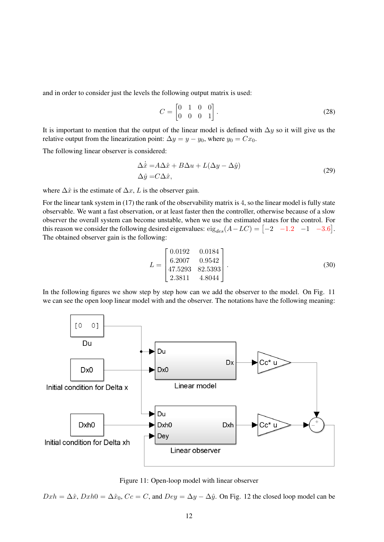and in order to consider just the levels the following output matrix is used:

$$
C = \begin{bmatrix} 0 & 1 & 0 & 0 \\ 0 & 0 & 0 & 1 \end{bmatrix}.
$$
 (28)

It is important to mention that the output of the linear model is defined with  $\Delta y$  so it will give us the relative output from the linearization point:  $\Delta y = y - y_0$ , where  $y_0 = Cx_0$ .

The following linear observer is considered:

$$
\Delta \dot{\hat{x}} = A\Delta \hat{x} + B\Delta u + L(\Delta y - \Delta \hat{y})
$$
  
\n
$$
\Delta \hat{y} = C\Delta \hat{x},
$$
\n(29)

where  $\Delta \hat{x}$  is the estimate of  $\Delta x$ , L is the observer gain.

For the linear tank system in (17) the rank of the observability matrix is 4, so the linear model is fully state observable. We want a fast observation, or at least faster then the controller, otherwise because of a slow observer the overall system can become unstable, when we use the estimated states for the control. For this reason we consider the following desired eigenvalues:  $eig_{des}(A - LC) = \begin{bmatrix} -2 & -1.2 & -1 & -3.6 \end{bmatrix}$ . The obtained observer gain is the following:

$$
L = \begin{bmatrix} 0.0192 & 0.0184 \\ 6.2007 & 0.9542 \\ 47.5293 & 82.5393 \\ 2.3811 & 4.8044 \end{bmatrix}.
$$
 (30)

In the following figures we show step by step how can we add the observer to the model. On Fig. 11 we can see the open loop linear model with and the observer. The notations have the following meaning:



Figure 11: Open-loop model with linear observer

 $Dxh = \Delta \hat{x}$ ,  $Dxh0 = \Delta \hat{x}_0$ ,  $Cc = C$ , and  $Dey = \Delta y - \Delta \hat{y}$ . On Fig. 12 the closed loop model can be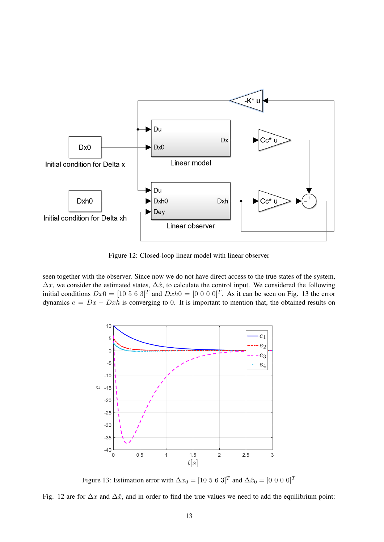

Figure 12: Closed-loop linear model with linear observer

seen together with the observer. Since now we do not have direct access to the true states of the system,  $\Delta x$ , we consider the estimated states,  $\Delta \hat{x}$ , to calculate the control input. We considered the following initial conditions  $Dx0 = \begin{bmatrix} 10 & 5 & 6 & 3 \end{bmatrix}^T$  and  $Dxh0 = \begin{bmatrix} 0 & 0 & 0 & 0 \end{bmatrix}^T$ . As it can be seen on Fig. 13 the error dynamics  $e = Dx - Dxh$  is converging to 0. It is important to mention that, the obtained results on



Figure 13: Estimation error with  $\Delta x_0 = [10 \ 5 \ 6 \ 3]^T$  and  $\Delta \hat{x}_0 = [0 \ 0 \ 0 \ 0]^T$ 

Fig. 12 are for  $\Delta x$  and  $\Delta \hat{x}$ , and in order to find the true values we need to add the equilibrium point: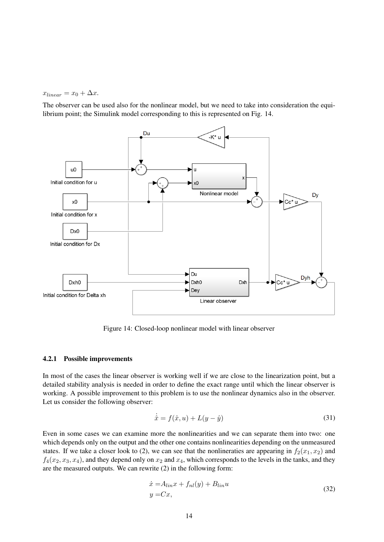$x_{linear} = x_0 + \Delta x.$ 

The observer can be used also for the nonlinear model, but we need to take into consideration the equilibrium point; the Simulink model corresponding to this is represented on Fig. 14.



Figure 14: Closed-loop nonlinear model with linear observer

### 4.2.1 Possible improvements

In most of the cases the linear observer is working well if we are close to the linearization point, but a detailed stability analysis is needed in order to define the exact range until which the linear observer is working. A possible improvement to this problem is to use the nonlinear dynamics also in the observer. Let us consider the following observer:

$$
\dot{\hat{x}} = f(\hat{x}, u) + L(y - \hat{y})\tag{31}
$$

Even in some cases we can examine more the nonlinearities and we can separate them into two: one which depends only on the output and the other one contains nonlinearities depending on the unmeasured states. If we take a closer look to (2), we can see that the nonlineraties are appearing in  $f_2(x_1, x_2)$  and  $f_4(x_2, x_3, x_4)$ , and they depend only on  $x_2$  and  $x_4$ , which corresponds to the levels in the tanks, and they are the measured outputs. We can rewrite (2) in the following form:

$$
\begin{aligned} \dot{x} &= A_{lin}x + f_{nl}(y) + B_{lin}u\\ y &= Cx, \end{aligned} \tag{32}
$$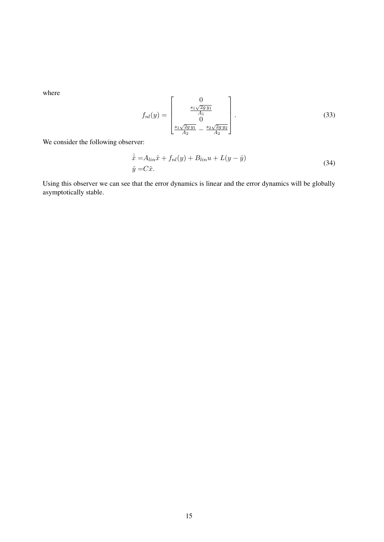where

$$
f_{nl}(y) = \begin{bmatrix} 0 \\ \frac{s_1 \sqrt{2gy_1}}{A_1} \\ 0 \\ \frac{s_1 \sqrt{2gy_1}}{A_2} - \frac{s_2 \sqrt{2gy_2}}{A_2} \end{bmatrix} .
$$
 (33)

We consider the following observer:

$$
\dot{\hat{x}} = A_{lin}\hat{x} + f_{nl}(y) + B_{lin}u + L(y - \hat{y})
$$
\n
$$
\hat{y} = C\hat{x}.
$$
\n(34)

Using this observer we can see that the error dynamics is linear and the error dynamics will be globally asymptotically stable.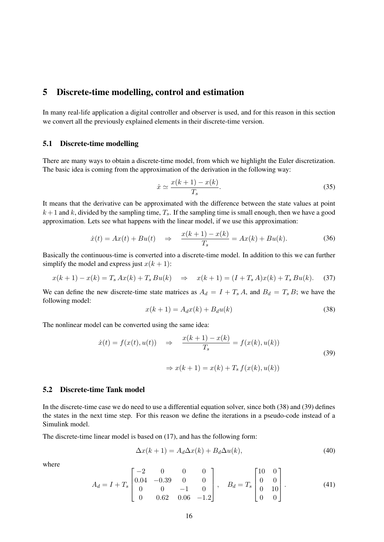### 5 Discrete-time modelling, control and estimation

In many real-life application a digital controller and observer is used, and for this reason in this section we convert all the previously explained elements in their discrete-time version.

### 5.1 Discrete-time modelling

There are many ways to obtain a discrete-time model, from which we highlight the Euler discretization. The basic idea is coming from the approximation of the derivation in the following way:

$$
\dot{x} \simeq \frac{x(k+1) - x(k)}{T_s}.\tag{35}
$$

It means that the derivative can be approximated with the difference between the state values at point  $k + 1$  and k, divided by the sampling time,  $T_s$ . If the sampling time is small enough, then we have a good approximation. Lets see what happens with the linear model, if we use this approximation:

$$
\dot{x}(t) = Ax(t) + Bu(t) \quad \Rightarrow \quad \frac{x(k+1) - x(k)}{T_s} = Ax(k) + Bu(k). \tag{36}
$$

Basically the continuous-time is converted into a discrete-time model. In addition to this we can further simplify the model and express just  $x(k + 1)$ :

$$
x(k+1) - x(k) = T_s A x(k) + T_s B u(k) \Rightarrow x(k+1) = (I + T_s A) x(k) + T_s B u(k). \tag{37}
$$

We can define the new discrete-time state matrices as  $A_d = I + T_s A$ , and  $B_d = T_s B$ ; we have the following model:

$$
x(k+1) = A_d x(k) + B_d u(k)
$$
\n(38)

The nonlinear model can be converted using the same idea:

$$
\dot{x}(t) = f(x(t), u(t)) \quad \Rightarrow \quad \frac{x(k+1) - x(k)}{T_s} = f(x(k), u(k))
$$
\n
$$
\Rightarrow x(k+1) = x(k) + T_s f(x(k), u(k))
$$
\n(39)

### 5.2 Discrete-time Tank model

In the discrete-time case we do need to use a differential equation solver, since both (38) and (39) defines the states in the next time step. For this reason we define the iterations in a pseudo-code instead of a Simulink model.

The discrete-time linear model is based on (17), and has the following form:

$$
\Delta x(k+1) = A_d \Delta x(k) + B_d \Delta u(k),\tag{40}
$$

where

$$
A_d = I + T_s \begin{bmatrix} -2 & 0 & 0 & 0 \\ 0.04 & -0.39 & 0 & 0 \\ 0 & 0 & -1 & 0 \\ 0 & 0.62 & 0.06 & -1.2 \end{bmatrix}, \quad B_d = T_s \begin{bmatrix} 10 & 0 \\ 0 & 0 \\ 0 & 10 \\ 0 & 0 \end{bmatrix}.
$$
 (41)